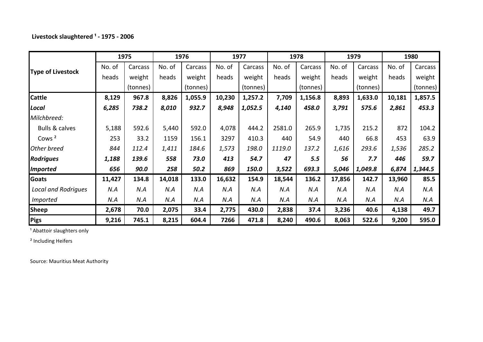### Livestock slaughtered <sup>1</sup> - 1975 - 2006

|                            | 1975   |             | 1976   |          | 1977   |          | 1978   |          | 1979   |          | 1980   |          |
|----------------------------|--------|-------------|--------|----------|--------|----------|--------|----------|--------|----------|--------|----------|
|                            | No. of | Carcass     | No. of | Carcass  | No. of | Carcass  | No. of | Carcass  | No. of | Carcass  | No. of | Carcass  |
| <b>Type of Livestock</b>   | heads  | weight      | heads  | weight   | heads  | weight   | heads  | weight   | heads  | weight   | heads  | weight   |
|                            |        | (tonnes)    |        | (tonnes) |        | (tonnes) |        | (tonnes) |        | (tonnes) |        | (tonnes) |
| <b>Cattle</b>              | 8,129  | 967.8       | 8,826  | 1,055.9  | 10,230 | 1,257.2  | 7,709  | 1,156.8  | 8,893  | 1,633.0  | 10,181 | 1,857.5  |
| <b>Local</b>               | 6,285  | 738.2       | 8,010  | 932.7    | 8,948  | 1,052.5  | 4,140  | 458.0    | 3,791  | 575.6    | 2,861  | 453.3    |
| Milchbreed:                |        |             |        |          |        |          |        |          |        |          |        |          |
| <b>Bulls &amp; calves</b>  | 5,188  | 592.6       | 5,440  | 592.0    | 4,078  | 444.2    | 2581.0 | 265.9    | 1,735  | 215.2    | 872    | 104.2    |
| Cows <sup>2</sup>          | 253    | 33.2        | 1159   | 156.1    | 3297   | 410.3    | 440    | 54.9     | 440    | 66.8     | 453    | 63.9     |
| Other breed                | 844    | 112.4       | 1,411  | 184.6    | 1,573  | 198.0    | 1119.0 | 137.2    | 1,616  | 293.6    | 1,536  | 285.2    |
| <b>Rodrigues</b>           | 1,188  | 139.6       | 558    | 73.0     | 413    | 54.7     | 47     | 5.5      | 56     | 7.7      | 446    | 59.7     |
| <b>Imported</b>            | 656    | <b>90.0</b> | 258    | 50.2     | 869    | 150.0    | 3,522  | 693.3    | 5,046  | 1,049.8  | 6,874  | 1,344.5  |
| <b>Goats</b>               | 11,427 | 134.8       | 14,018 | 133.0    | 16,632 | 154.9    | 18,544 | 136.2    | 17,856 | 142.7    | 13,960 | 85.5     |
| <b>Local and Rodrigues</b> | N.A    | N.A         | N.A    | N.A      | N.A    | N.A      | N.A    | N.A      | N.A    | N.A      | N.A    | N.A      |
| <i>Imported</i>            | N.A    | N.A         | N.A    | N.A      | N.A    | N.A      | N.A    | N.A      | N.A    | N.A      | N.A    | N.A      |
| <b>Sheep</b>               | 2,678  | 70.0        | 2,075  | 33.4     | 2,775  | 430.0    | 2,838  | 37.4     | 3,236  | 40.6     | 4,138  | 49.7     |
| <b>Pigs</b>                | 9,216  | 745.1       | 8,215  | 604.4    | 7266   | 471.8    | 8,240  | 490.6    | 8,063  | 522.6    | 9,200  | 595.0    |

<sup>1</sup> Abattoir slaughters only

² Including Heifers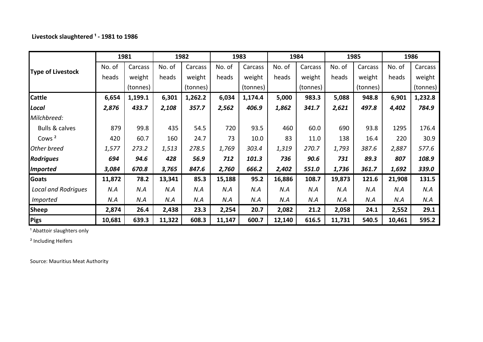# Livestock slaughtered <sup>1</sup> - 1981 to 1986

|                            | 1981   |          | 1982   |          | 1983   |          | 1984   |          | 1985   |          | 1986   |          |
|----------------------------|--------|----------|--------|----------|--------|----------|--------|----------|--------|----------|--------|----------|
|                            | No. of | Carcass  | No. of | Carcass  | No. of | Carcass  | No. of | Carcass  | No. of | Carcass  | No. of | Carcass  |
| <b>Type of Livestock</b>   | heads  | weight   | heads  | weight   | heads  | weight   | heads  | weight   | heads  | weight   | heads  | weight   |
|                            |        | (tonnes) |        | (tonnes) |        | (tonnes) |        | (tonnes) |        | (tonnes) |        | (tonnes) |
| <b>Cattle</b>              | 6,654  | 1,199.1  | 6,301  | 1,262.2  | 6,034  | 1,174.4  | 5,000  | 983.3    | 5,088  | 948.8    | 6,901  | 1,232.8  |
| <b>Local</b>               | 2,876  | 433.7    | 2,108  | 357.7    | 2,562  | 406.9    | 1,862  | 341.7    | 2,621  | 497.8    | 4,402  | 784.9    |
| Milchbreed:                |        |          |        |          |        |          |        |          |        |          |        |          |
| <b>Bulls &amp; calves</b>  | 879    | 99.8     | 435    | 54.5     | 720    | 93.5     | 460    | 60.0     | 690    | 93.8     | 1295   | 176.4    |
| Cows <sup>2</sup>          | 420    | 60.7     | 160    | 24.7     | 73     | 10.0     | 83     | 11.0     | 138    | 16.4     | 220    | 30.9     |
| Other breed                | 1,577  | 273.2    | 1,513  | 278.5    | 1,769  | 303.4    | 1,319  | 270.7    | 1,793  | 387.6    | 2,887  | 577.6    |
| <b>Rodrigues</b>           | 694    | 94.6     | 428    | 56.9     | 712    | 101.3    | 736    | 90.6     | 731    | 89.3     | 807    | 108.9    |
| <b>Imported</b>            | 3,084  | 670.8    | 3,765  | 847.6    | 2,760  | 666.2    | 2,402  | 551.0    | 1,736  | 361.7    | 1,692  | 339.0    |
| <b>Goats</b>               | 11,872 | 78.2     | 13,341 | 85.3     | 15,188 | 95.2     | 16,886 | 108.7    | 19,873 | 121.6    | 21,908 | 131.5    |
| <b>Local and Rodrigues</b> | N.A    | N.A      | N.A    | N.A      | N.A    | N.A      | N.A    | N.A      | N.A    | N.A      | N.A    | N.A      |
| <b>Imported</b>            | N.A    | N.A      | N.A    | N.A      | N.A    | N.A      | N.A    | N.A      | N.A    | N.A      | N.A    | N.A      |
| <b>Sheep</b>               | 2,874  | 26.4     | 2,438  | 23.3     | 2,254  | 20.7     | 2,082  | 21.2     | 2,058  | 24.1     | 2,552  | 29.1     |
| Pigs                       | 10,681 | 639.3    | 11,322 | 608.3    | 11,147 | 600.7    | 12,140 | 616.5    | 11,731 | 540.5    | 10,461 | 595.2    |

<sup>1</sup> Abattoir slaughters only

² Including Heifers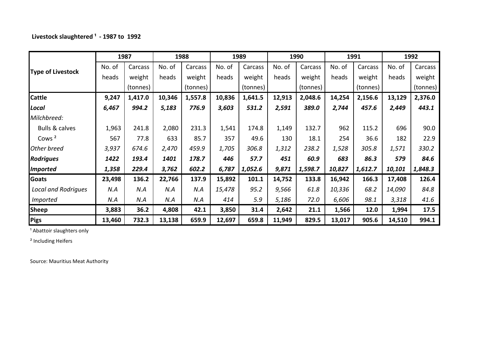### **Livestock slaughtered ¹ - 1987 to 1992**

|                            | 1987   |          | 1988   |          | 1989   |          | 1990   |          | 1991   |          | 1992   |          |
|----------------------------|--------|----------|--------|----------|--------|----------|--------|----------|--------|----------|--------|----------|
| <b>Type of Livestock</b>   | No. of | Carcass  | No. of | Carcass  | No. of | Carcass  | No. of | Carcass  | No. of | Carcass  | No. of | Carcass  |
|                            | heads  | weight   | heads  | weight   | heads  | weight   | heads  | weight   | heads  | weight   | heads  | weight   |
|                            |        | (tonnes) |        | (tonnes) |        | (tonnes) |        | (tonnes) |        | (tonnes) |        | (tonnes) |
| <b>Cattle</b>              | 9,247  | 1,417.0  | 10,346 | 1,557.8  | 10,836 | 1,641.5  | 12,913 | 2,048.6  | 14,254 | 2,156.6  | 13,129 | 2,376.0  |
| <b>Local</b>               | 6,467  | 994.2    | 5,183  | 776.9    | 3,603  | 531.2    | 2,591  | 389.0    | 2,744  | 457.6    | 2,449  | 443.1    |
| Milchbreed:                |        |          |        |          |        |          |        |          |        |          |        |          |
| <b>Bulls &amp; calves</b>  | 1,963  | 241.8    | 2,080  | 231.3    | 1,541  | 174.8    | 1,149  | 132.7    | 962    | 115.2    | 696    | 90.0     |
| Cows <sup>2</sup>          | 567    | 77.8     | 633    | 85.7     | 357    | 49.6     | 130    | 18.1     | 254    | 36.6     | 182    | 22.9     |
| Other breed                | 3,937  | 674.6    | 2,470  | 459.9    | 1,705  | 306.8    | 1,312  | 238.2    | 1,528  | 305.8    | 1,571  | 330.2    |
| <b>Rodrigues</b>           | 1422   | 193.4    | 1401   | 178.7    | 446    | 57.7     | 451    | 60.9     | 683    | 86.3     | 579    | 84.6     |
| <b>Imported</b>            | 1,358  | 229.4    | 3,762  | 602.2    | 6,787  | 1,052.6  | 9,871  | 1,598.7  | 10,827 | 1,612.7  | 10,101 | 1,848.3  |
| <b>Goats</b>               | 23,498 | 136.2    | 22,766 | 137.9    | 15,892 | 101.1    | 14,752 | 133.8    | 16,942 | 166.3    | 17,408 | 126.4    |
| <b>Local and Rodrigues</b> | N.A    | N.A      | N.A    | N.A      | 15,478 | 95.2     | 9,566  | 61.8     | 10,336 | 68.2     | 14,090 | 84.8     |
| <i>Imported</i>            | N.A    | N.A      | N.A    | N.A      | 414    | 5.9      | 5,186  | 72.0     | 6,606  | 98.1     | 3,318  | 41.6     |
| <b>Sheep</b>               | 3,883  | 36.2     | 4,808  | 42.1     | 3,850  | 31.4     | 2,642  | 21.1     | 1,566  | 12.0     | 1,994  | 17.5     |
| <b>Pigs</b>                | 13,460 | 732.3    | 13,138 | 659.9    | 12,697 | 659.8    | 11,949 | 829.5    | 13,017 | 905.6    | 14,510 | 994.1    |

<sup>1</sup> Abattoir slaughters only

² Including Heifers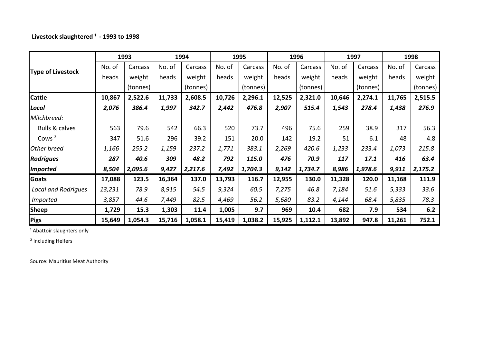### **Livestock slaughtered ¹ - 1993 to 1998**

|                            | 1993   |          | 1994   |          | 1995   |          | 1996   |          | 1997   |          | 1998   |          |
|----------------------------|--------|----------|--------|----------|--------|----------|--------|----------|--------|----------|--------|----------|
|                            | No. of | Carcass  | No. of | Carcass  | No. of | Carcass  | No. of | Carcass  | No. of | Carcass  | No. of | Carcass  |
| <b>Type of Livestock</b>   | heads  | weight   | heads  | weight   | heads  | weight   | heads  | weight   | heads  | weight   | heads  | weight   |
|                            |        | (tonnes) |        | (tonnes) |        | (tonnes) |        | (tonnes) |        | (tonnes) |        | (tonnes) |
| <b>Cattle</b>              | 10,867 | 2,522.6  | 11,733 | 2,608.5  | 10,726 | 2,296.1  | 12,525 | 2,321.0  | 10,646 | 2,274.1  | 11,765 | 2,515.5  |
| <b>Local</b>               | 2,076  | 386.4    | 1,997  | 342.7    | 2,442  | 476.8    | 2,907  | 515.4    | 1,543  | 278.4    | 1,438  | 276.9    |
| Milchbreed:                |        |          |        |          |        |          |        |          |        |          |        |          |
| <b>Bulls &amp; calves</b>  | 563    | 79.6     | 542    | 66.3     | 520    | 73.7     | 496    | 75.6     | 259    | 38.9     | 317    | 56.3     |
| Cows <sup>2</sup>          | 347    | 51.6     | 296    | 39.2     | 151    | 20.0     | 142    | 19.2     | 51     | 6.1      | 48     | 4.8      |
| Other breed                | 1,166  | 255.2    | 1,159  | 237.2    | 1,771  | 383.1    | 2,269  | 420.6    | 1,233  | 233.4    | 1,073  | 215.8    |
| <b>Rodrigues</b>           | 287    | 40.6     | 309    | 48.2     | 792    | 115.0    | 476    | 70.9     | 117    | 17.1     | 416    | 63.4     |
| <b>Imported</b>            | 8,504  | 2,095.6  | 9,427  | 2,217.6  | 7,492  | 1,704.3  | 9,142  | 1,734.7  | 8,986  | 1,978.6  | 9,911  | 2,175.2  |
| <b>Goats</b>               | 17,088 | 123.5    | 16,364 | 137.0    | 13,793 | 116.7    | 12,955 | 130.0    | 11,328 | 120.0    | 11,168 | 111.9    |
| <b>Local and Rodrigues</b> | 13,231 | 78.9     | 8,915  | 54.5     | 9,324  | 60.5     | 7,275  | 46.8     | 7,184  | 51.6     | 5,333  | 33.6     |
| <i>Imported</i>            | 3,857  | 44.6     | 7,449  | 82.5     | 4,469  | 56.2     | 5,680  | 83.2     | 4,144  | 68.4     | 5,835  | 78.3     |
| <b>Sheep</b>               | 1,729  | 15.3     | 1,303  | 11.4     | 1,005  | 9.7      | 969    | 10.4     | 682    | 7.9      | 534    | 6.2      |
| <b>Pigs</b>                | 15,649 | 1,054.3  | 15,716 | 1,058.1  | 15,419 | 1,038.2  | 15,925 | 1,112.1  | 13,892 | 947.8    | 11,261 | 752.1    |

<sup>1</sup> Abattoir slaughters only

² Including Heifers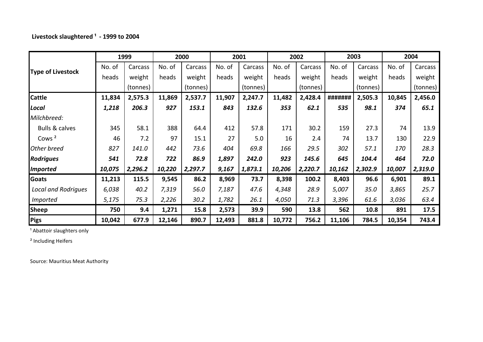### **Livestock slaughtered ¹ - 1999 to 2004**

|                            | 1999   |          | 2000   |          | 2001   |          | 2002   |          | 2003    |          | 2004   |          |
|----------------------------|--------|----------|--------|----------|--------|----------|--------|----------|---------|----------|--------|----------|
|                            | No. of | Carcass  | No. of | Carcass  | No. of | Carcass  | No. of | Carcass  | No. of  | Carcass  | No. of | Carcass  |
| <b>Type of Livestock</b>   | heads  | weight   | heads  | weight   | heads  | weight   | heads  | weight   | heads   | weight   | heads  | weight   |
|                            |        | (tonnes) |        | (tonnes) |        | (tonnes) |        | (tonnes) |         | (tonnes) |        | (tonnes) |
| <b>Cattle</b>              | 11,834 | 2,575.3  | 11,869 | 2,537.7  | 11,907 | 2,247.7  | 11,482 | 2,428.4  | ####### | 2,505.3  | 10,845 | 2,456.0  |
| <b>Local</b>               | 1,218  | 206.3    | 927    | 153.1    | 843    | 132.6    | 353    | 62.1     | 535     | 98.1     | 374    | 65.1     |
| Milchbreed:                |        |          |        |          |        |          |        |          |         |          |        |          |
| <b>Bulls &amp; calves</b>  | 345    | 58.1     | 388    | 64.4     | 412    | 57.8     | 171    | 30.2     | 159     | 27.3     | 74     | 13.9     |
| Cows <sup>2</sup>          | 46     | 7.2      | 97     | 15.1     | 27     | 5.0      | 16     | 2.4      | 74      | 13.7     | 130    | 22.9     |
| Other breed                | 827    | 141.0    | 442    | 73.6     | 404    | 69.8     | 166    | 29.5     | 302     | 57.1     | 170    | 28.3     |
| <b>Rodrigues</b>           | 541    | 72.8     | 722    | 86.9     | 1,897  | 242.0    | 923    | 145.6    | 645     | 104.4    | 464    | 72.0     |
| <b>Imported</b>            | 10,075 | 2,296.2  | 10,220 | 2,297.7  | 9,167  | 1,873.1  | 10,206 | 2,220.7  | 10,162  | 2,302.9  | 10,007 | 2,319.0  |
| Goats                      | 11,213 | 115.5    | 9,545  | 86.2     | 8,969  | 73.7     | 8,398  | 100.2    | 8,403   | 96.6     | 6,901  | 89.1     |
| <b>Local and Rodrigues</b> | 6,038  | 40.2     | 7,319  | 56.0     | 7,187  | 47.6     | 4,348  | 28.9     | 5,007   | 35.0     | 3,865  | 25.7     |
| <b>Imported</b>            | 5,175  | 75.3     | 2,226  | 30.2     | 1,782  | 26.1     | 4,050  | 71.3     | 3,396   | 61.6     | 3,036  | 63.4     |
| <b>Sheep</b>               | 750    | 9.4      | 1,271  | 15.8     | 2,573  | 39.9     | 590    | 13.8     | 562     | 10.8     | 891    | 17.5     |
| Pigs                       | 10,042 | 677.9    | 12,146 | 890.7    | 12,493 | 881.8    | 10,772 | 756.2    | 11,106  | 784.5    | 10,354 | 743.4    |

<sup>1</sup> Abattoir slaughters only

² Including Heifers